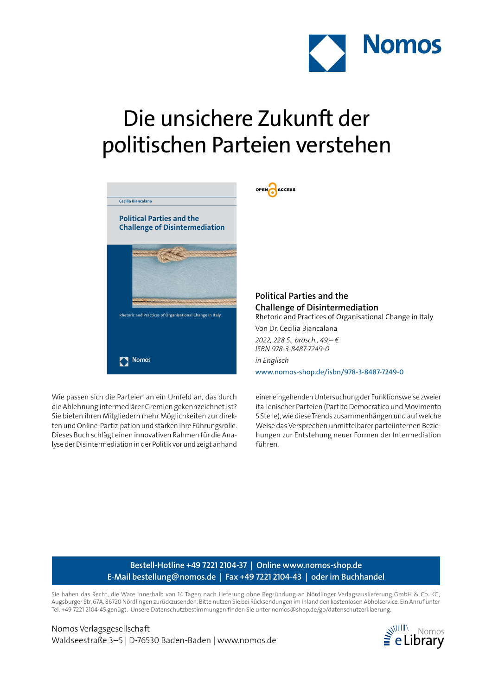

## Die unsichere Zukunft der politischen Parteien verstehen

OPEN ACCESS



Wie passen sich die Parteien an ein Umfeld an, das durch die Ablehnung intermediärer Gremien gekennzeichnet ist? Sie bieten ihren Mitgliedern mehr Möglichkeiten zur direkten und Online-Partizipation und stärken ihre Führungsrolle. Dieses Buch schlägt einen innovativen Rahmen für die Analyse der Disintermediation in der Politik vor und zeigt anhand **Political Parties and the Challenge of Disintermediation** Rhetoric and Practices of Organisational Change in Italy Von Dr. Cecilia Biancalana

*2022, 228 S., brosch., 49,– € ISBN 978-3-8487-7249-0 in Englisch* www.nomos-shop.de/isbn/978-3-8487-7249-0

einer eingehenden Untersuchung der Funktionsweise zweier italienischer Parteien (Partito Democratico und Movimento 5 Stelle), wie diese Trends zusammenhängen und auf welche Weise das Versprechen unmittelbarer parteiinternen Beziehungen zur Entstehung neuer Formen der Intermediation führen.

## **Bestell-Hotline +49 7221 2104-37 | Online www.nomos-shop.de E-Mail bestellung@nomos.de | Fax +49 7221 2104-43 | oder im Buchhandel**

Sie haben das Recht, die Ware innerhalb von 14 Tagen nach Lieferung ohne Begründung an Nördlinger Verlagsauslieferung GmbH & Co. KG, Augsburger Str. 67A, 86720 Nördlingen zurückzusenden. Bitte nutzen Sie bei Rücksendungen im Inland den kostenlosen Abholservice. Ein Anruf unter Tel. +49 7221 2104-45 genügt. Unsere Datenschutzbestimmungen finden Sie unter nomos@shop.de/go/datenschutzerklaerung.

Nomos Verlagsgesellschaft Waldseestraße 3–5 | D-76530 Baden-Baden | www.nomos.de  $\geq$  **elibrary**